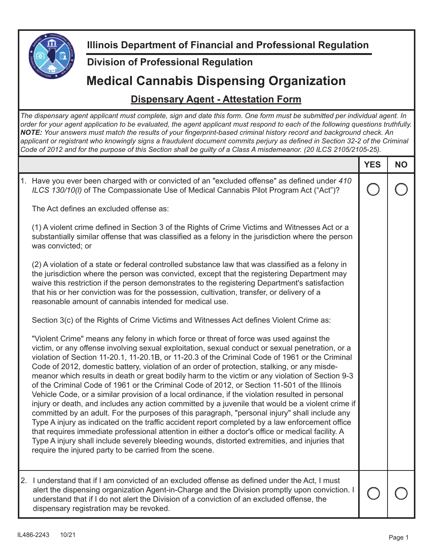

**Illinois Department of Financial and Professional Regulation**

## **Division of Professional Regulation**

## **Medical Cannabis Dispensing Organization**

## **Dispensary Agent - Attestation Form**

*The dispensary agent applicant must complete, sign and date this form. One form must be submitted per individual agent. In order for your agent application to be evaluated, the agent applicant must respond to each of the following questions truthfully.*  **NOTE:** Your answers must match the results of your fingerprint-based criminal history record and background check. An applicant or registrant who knowingly signs a fraudulent document commits perjury as defined in Section 32-2 of the Criminal *Code of 2012 and for the purpose of this Section shall be guilty of a Class A misdemeanor. (20 ILCS 2105/2105-25).*

|                                                                                                                                                                                                                                                                                                                                                                                                                                                                                                                                                                                                                                                                                                                                                                                                                                                                                                                                                                                                                                                                                                                                                                                                                                                                                    | <b>YES</b> | <b>NO</b> |
|------------------------------------------------------------------------------------------------------------------------------------------------------------------------------------------------------------------------------------------------------------------------------------------------------------------------------------------------------------------------------------------------------------------------------------------------------------------------------------------------------------------------------------------------------------------------------------------------------------------------------------------------------------------------------------------------------------------------------------------------------------------------------------------------------------------------------------------------------------------------------------------------------------------------------------------------------------------------------------------------------------------------------------------------------------------------------------------------------------------------------------------------------------------------------------------------------------------------------------------------------------------------------------|------------|-----------|
| 1. Have you ever been charged with or convicted of an "excluded offense" as defined under 410<br>ILCS 130/10(I) of The Compassionate Use of Medical Cannabis Pilot Program Act ("Act")?                                                                                                                                                                                                                                                                                                                                                                                                                                                                                                                                                                                                                                                                                                                                                                                                                                                                                                                                                                                                                                                                                            |            |           |
| The Act defines an excluded offense as:                                                                                                                                                                                                                                                                                                                                                                                                                                                                                                                                                                                                                                                                                                                                                                                                                                                                                                                                                                                                                                                                                                                                                                                                                                            |            |           |
| (1) A violent crime defined in Section 3 of the Rights of Crime Victims and Witnesses Act or a<br>substantially similar offense that was classified as a felony in the jurisdiction where the person<br>was convicted; or                                                                                                                                                                                                                                                                                                                                                                                                                                                                                                                                                                                                                                                                                                                                                                                                                                                                                                                                                                                                                                                          |            |           |
| (2) A violation of a state or federal controlled substance law that was classified as a felony in<br>the jurisdiction where the person was convicted, except that the registering Department may<br>waive this restriction if the person demonstrates to the registering Department's satisfaction<br>that his or her conviction was for the possession, cultivation, transfer, or delivery of a<br>reasonable amount of cannabis intended for medical use.                                                                                                                                                                                                                                                                                                                                                                                                                                                                                                                                                                                                                                                                                                                                                                                                                        |            |           |
| Section 3(c) of the Rights of Crime Victims and Witnesses Act defines Violent Crime as:                                                                                                                                                                                                                                                                                                                                                                                                                                                                                                                                                                                                                                                                                                                                                                                                                                                                                                                                                                                                                                                                                                                                                                                            |            |           |
| "Violent Crime" means any felony in which force or threat of force was used against the<br>victim, or any offense involving sexual exploitation, sexual conduct or sexual penetration, or a<br>violation of Section 11-20.1, 11-20.1B, or 11-20.3 of the Criminal Code of 1961 or the Criminal<br>Code of 2012, domestic battery, violation of an order of protection, stalking, or any misde-<br>meanor which results in death or great bodily harm to the victim or any violation of Section 9-3<br>of the Criminal Code of 1961 or the Criminal Code of 2012, or Section 11-501 of the Illinois<br>Vehicle Code, or a similar provision of a local ordinance, if the violation resulted in personal<br>injury or death, and includes any action committed by a juvenile that would be a violent crime if<br>committed by an adult. For the purposes of this paragraph, "personal injury" shall include any<br>Type A injury as indicated on the traffic accident report completed by a law enforcement office<br>that requires immediate professional attention in either a doctor's office or medical facility. A<br>Type A injury shall include severely bleeding wounds, distorted extremities, and injuries that<br>require the injured party to be carried from the scene. |            |           |
| 2. I understand that if I am convicted of an excluded offense as defined under the Act, I must<br>alert the dispensing organization Agent-in-Charge and the Division promptly upon conviction. I<br>understand that if I do not alert the Division of a conviction of an excluded offense, the<br>dispensary registration may be revoked.                                                                                                                                                                                                                                                                                                                                                                                                                                                                                                                                                                                                                                                                                                                                                                                                                                                                                                                                          |            |           |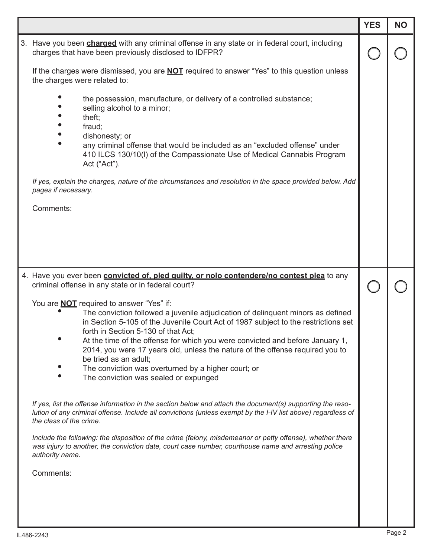|                                                                                                                                                                                                                                                                                                                                                                                                                                                                                                                                                            | <b>YES</b> | <b>NO</b> |
|------------------------------------------------------------------------------------------------------------------------------------------------------------------------------------------------------------------------------------------------------------------------------------------------------------------------------------------------------------------------------------------------------------------------------------------------------------------------------------------------------------------------------------------------------------|------------|-----------|
| 3. Have you been <b>charged</b> with any criminal offense in any state or in federal court, including<br>charges that have been previously disclosed to IDFPR?                                                                                                                                                                                                                                                                                                                                                                                             |            |           |
| If the charges were dismissed, you are <b>NOT</b> required to answer "Yes" to this question unless<br>the charges were related to:                                                                                                                                                                                                                                                                                                                                                                                                                         |            |           |
| the possession, manufacture, or delivery of a controlled substance;<br>selling alcohol to a minor;<br>theft;<br>fraud;<br>dishonesty; or<br>any criminal offense that would be included as an "excluded offense" under<br>410 ILCS 130/10(I) of the Compassionate Use of Medical Cannabis Program<br>Act ("Act").                                                                                                                                                                                                                                          |            |           |
| If yes, explain the charges, nature of the circumstances and resolution in the space provided below. Add<br>pages if necessary.                                                                                                                                                                                                                                                                                                                                                                                                                            |            |           |
| Comments:                                                                                                                                                                                                                                                                                                                                                                                                                                                                                                                                                  |            |           |
|                                                                                                                                                                                                                                                                                                                                                                                                                                                                                                                                                            |            |           |
| 4. Have you ever been convicted of, pled guilty, or nolo contendere/no contest plea to any<br>criminal offense in any state or in federal court?                                                                                                                                                                                                                                                                                                                                                                                                           |            |           |
| You are <b>NOT</b> required to answer "Yes" if:<br>The conviction followed a juvenile adjudication of delinquent minors as defined<br>in Section 5-105 of the Juvenile Court Act of 1987 subject to the restrictions set<br>forth in Section 5-130 of that Act;<br>At the time of the offense for which you were convicted and before January 1,<br>2014, you were 17 years old, unless the nature of the offense required you to<br>be tried as an adult;<br>The conviction was overturned by a higher court; or<br>The conviction was sealed or expunged |            |           |
| If yes, list the offense information in the section below and attach the document(s) supporting the reso-<br>lution of any criminal offense. Include all convictions (unless exempt by the I-IV list above) regardless of<br>the class of the crime.                                                                                                                                                                                                                                                                                                       |            |           |
| Include the following: the disposition of the crime (felony, misdemeanor or petty offense), whether there<br>was injury to another, the conviction date, court case number, courthouse name and arresting police<br>authority name.                                                                                                                                                                                                                                                                                                                        |            |           |
| Comments:                                                                                                                                                                                                                                                                                                                                                                                                                                                                                                                                                  |            |           |
|                                                                                                                                                                                                                                                                                                                                                                                                                                                                                                                                                            |            |           |
|                                                                                                                                                                                                                                                                                                                                                                                                                                                                                                                                                            |            |           |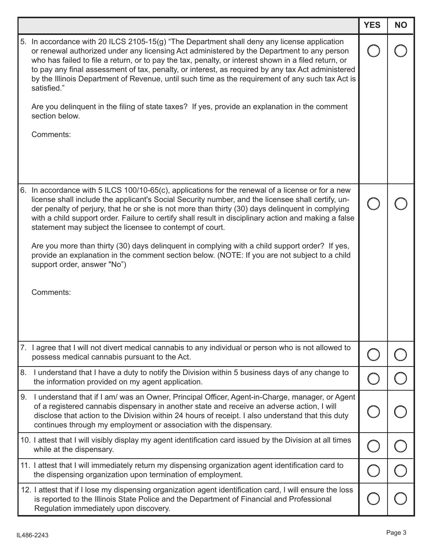|    |                                                                                                                                                                                                                                                                                                                                                                                                                                                                                                                                                                                                                                                            | <b>YES</b> | <b>NO</b> |
|----|------------------------------------------------------------------------------------------------------------------------------------------------------------------------------------------------------------------------------------------------------------------------------------------------------------------------------------------------------------------------------------------------------------------------------------------------------------------------------------------------------------------------------------------------------------------------------------------------------------------------------------------------------------|------------|-----------|
|    | 5. In accordance with 20 ILCS 2105-15(g) "The Department shall deny any license application<br>or renewal authorized under any licensing Act administered by the Department to any person<br>who has failed to file a return, or to pay the tax, penalty, or interest shown in a filed return, or<br>to pay any final assessment of tax, penalty, or interest, as required by any tax Act administered<br>by the Illinois Department of Revenue, until such time as the requirement of any such tax Act is<br>satisfied."<br>Are you delinquent in the filing of state taxes? If yes, provide an explanation in the comment<br>section below.<br>Comments: |            |           |
|    |                                                                                                                                                                                                                                                                                                                                                                                                                                                                                                                                                                                                                                                            |            |           |
|    | 6. In accordance with 5 ILCS 100/10-65(c), applications for the renewal of a license or for a new<br>license shall include the applicant's Social Security number, and the licensee shall certify, un-<br>der penalty of perjury, that he or she is not more than thirty (30) days delinquent in complying<br>with a child support order. Failure to certify shall result in disciplinary action and making a false<br>statement may subject the licensee to contempt of court.                                                                                                                                                                            |            |           |
|    | Are you more than thirty (30) days delinquent in complying with a child support order? If yes,<br>provide an explanation in the comment section below. (NOTE: If you are not subject to a child<br>support order, answer "No")                                                                                                                                                                                                                                                                                                                                                                                                                             |            |           |
|    | Comments:                                                                                                                                                                                                                                                                                                                                                                                                                                                                                                                                                                                                                                                  |            |           |
|    | 7. I agree that I will not divert medical cannabis to any individual or person who is not allowed to<br>possess medical cannabis pursuant to the Act.                                                                                                                                                                                                                                                                                                                                                                                                                                                                                                      |            |           |
| 8. | I understand that I have a duty to notify the Division within 5 business days of any change to<br>the information provided on my agent application.                                                                                                                                                                                                                                                                                                                                                                                                                                                                                                        |            |           |
| 9. | I understand that if I am/ was an Owner, Principal Officer, Agent-in-Charge, manager, or Agent<br>of a registered cannabis dispensary in another state and receive an adverse action, I will<br>disclose that action to the Division within 24 hours of receipt. I also understand that this duty<br>continues through my employment or association with the dispensary.                                                                                                                                                                                                                                                                                   |            |           |
|    | 10. I attest that I will visibly display my agent identification card issued by the Division at all times<br>while at the dispensary.                                                                                                                                                                                                                                                                                                                                                                                                                                                                                                                      |            |           |
|    | 11. I attest that I will immediately return my dispensing organization agent identification card to<br>the dispensing organization upon termination of employment.                                                                                                                                                                                                                                                                                                                                                                                                                                                                                         |            |           |
|    | 12. I attest that if I lose my dispensing organization agent identification card, I will ensure the loss<br>is reported to the Illinois State Police and the Department of Financial and Professional<br>Regulation immediately upon discovery.                                                                                                                                                                                                                                                                                                                                                                                                            |            |           |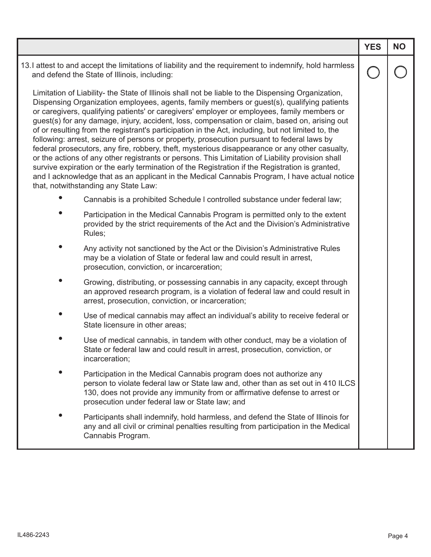|                                                                                                                                                                                                                                                                                                                                                                                                                                                                                                                                                                                                                                                                                                                                                                                                                                                                                                                                                                                                                                                       | <b>YES</b> | <b>NO</b> |
|-------------------------------------------------------------------------------------------------------------------------------------------------------------------------------------------------------------------------------------------------------------------------------------------------------------------------------------------------------------------------------------------------------------------------------------------------------------------------------------------------------------------------------------------------------------------------------------------------------------------------------------------------------------------------------------------------------------------------------------------------------------------------------------------------------------------------------------------------------------------------------------------------------------------------------------------------------------------------------------------------------------------------------------------------------|------------|-----------|
| 13.I attest to and accept the limitations of liability and the requirement to indemnify, hold harmless<br>and defend the State of Illinois, including:                                                                                                                                                                                                                                                                                                                                                                                                                                                                                                                                                                                                                                                                                                                                                                                                                                                                                                |            |           |
| Limitation of Liability- the State of Illinois shall not be liable to the Dispensing Organization,<br>Dispensing Organization employees, agents, family members or guest(s), qualifying patients<br>or caregivers, qualifying patients' or caregivers' employer or employees, family members or<br>guest(s) for any damage, injury, accident, loss, compensation or claim, based on, arising out<br>of or resulting from the registrant's participation in the Act, including, but not limited to, the<br>following: arrest, seizure of persons or property, prosecution pursuant to federal laws by<br>federal prosecutors, any fire, robbery, theft, mysterious disappearance or any other casualty,<br>or the actions of any other registrants or persons. This Limitation of Liability provision shall<br>survive expiration or the early termination of the Registration if the Registration is granted,<br>and I acknowledge that as an applicant in the Medical Cannabis Program, I have actual notice<br>that, notwithstanding any State Law: |            |           |
| Cannabis is a prohibited Schedule I controlled substance under federal law;                                                                                                                                                                                                                                                                                                                                                                                                                                                                                                                                                                                                                                                                                                                                                                                                                                                                                                                                                                           |            |           |
| Participation in the Medical Cannabis Program is permitted only to the extent<br>provided by the strict requirements of the Act and the Division's Administrative<br>Rules;                                                                                                                                                                                                                                                                                                                                                                                                                                                                                                                                                                                                                                                                                                                                                                                                                                                                           |            |           |
| Any activity not sanctioned by the Act or the Division's Administrative Rules<br>may be a violation of State or federal law and could result in arrest,<br>prosecution, conviction, or incarceration;                                                                                                                                                                                                                                                                                                                                                                                                                                                                                                                                                                                                                                                                                                                                                                                                                                                 |            |           |
| Growing, distributing, or possessing cannabis in any capacity, except through<br>an approved research program, is a violation of federal law and could result in<br>arrest, prosecution, conviction, or incarceration;                                                                                                                                                                                                                                                                                                                                                                                                                                                                                                                                                                                                                                                                                                                                                                                                                                |            |           |
| Use of medical cannabis may affect an individual's ability to receive federal or<br>State licensure in other areas;                                                                                                                                                                                                                                                                                                                                                                                                                                                                                                                                                                                                                                                                                                                                                                                                                                                                                                                                   |            |           |
| Use of medical cannabis, in tandem with other conduct, may be a violation of<br>State or federal law and could result in arrest, prosecution, conviction, or<br>incarceration;                                                                                                                                                                                                                                                                                                                                                                                                                                                                                                                                                                                                                                                                                                                                                                                                                                                                        |            |           |
| Participation in the Medical Cannabis program does not authorize any<br>person to violate federal law or State law and, other than as set out in 410 ILCS<br>130, does not provide any immunity from or affirmative defense to arrest or<br>prosecution under federal law or State law; and                                                                                                                                                                                                                                                                                                                                                                                                                                                                                                                                                                                                                                                                                                                                                           |            |           |
| Participants shall indemnify, hold harmless, and defend the State of Illinois for<br>any and all civil or criminal penalties resulting from participation in the Medical<br>Cannabis Program.                                                                                                                                                                                                                                                                                                                                                                                                                                                                                                                                                                                                                                                                                                                                                                                                                                                         |            |           |